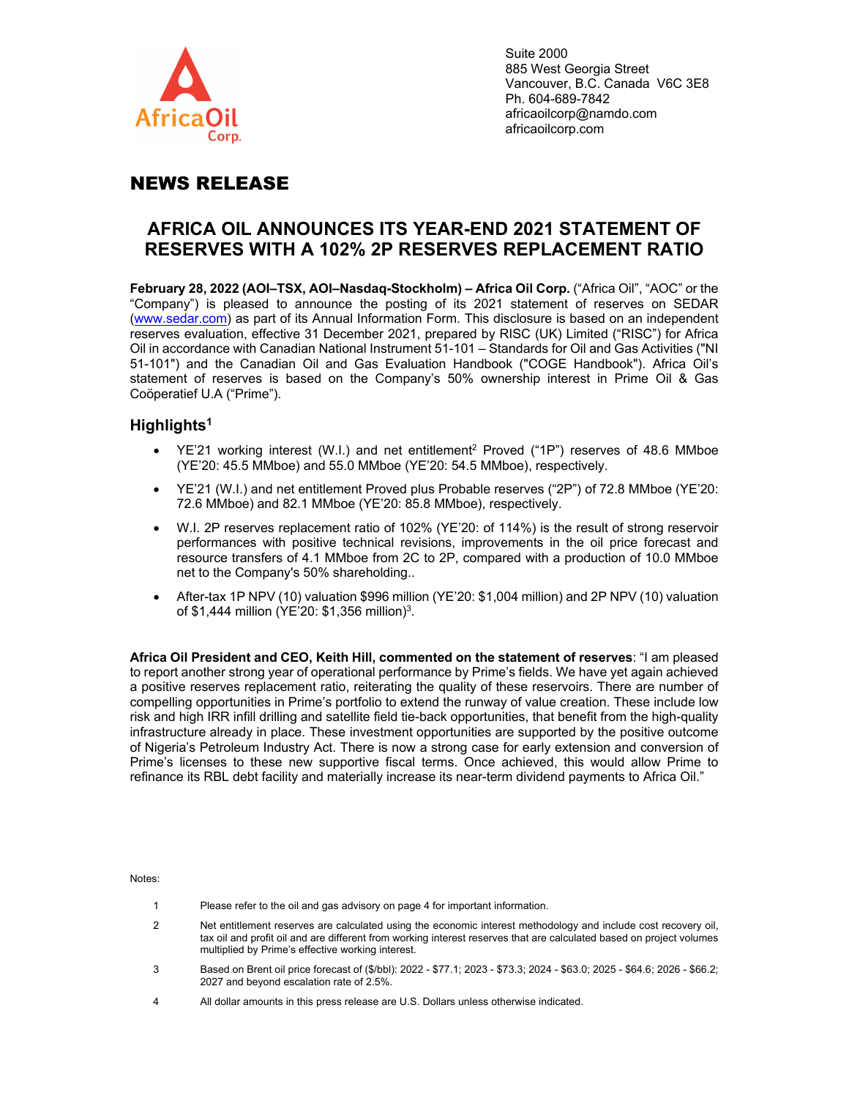

Suite 2000 885 West Georgia Street Vancouver, B.C. Canada V6C 3E8 Ph. 604-689-7842 africaoilcorp@namdo.com africaoilcorp.com

# NEWS RELEASE

## **AFRICA OIL ANNOUNCES ITS YEAR-END 2021 STATEMENT OF RESERVES WITH A 102% 2P RESERVES REPLACEMENT RATIO**

**February 28, 2022 (AOI–TSX, AOI–Nasdaq-Stockholm) – Africa Oil Corp.** ("Africa Oil", "AOC" or the "Company") is pleased to announce the posting of its 2021 statement of reserves on SEDAR (www.sedar.com) as part of its Annual Information Form. This disclosure is based on an independent reserves evaluation, effective 31 December 2021, prepared by RISC (UK) Limited ("RISC") for Africa Oil in accordance with Canadian National Instrument 51-101 – Standards for Oil and Gas Activities ("NI 51-101") and the Canadian Oil and Gas Evaluation Handbook ("COGE Handbook"). Africa Oil's statement of reserves is based on the Company's 50% ownership interest in Prime Oil & Gas Coöperatief U.A ("Prime").

## **Highlights1**

- YE'21 working interest (W.I.) and net entitlement<sup>2</sup> Proved ("1P") reserves of 48.6 MMboe (YE'20: 45.5 MMboe) and 55.0 MMboe (YE'20: 54.5 MMboe), respectively.
- YE'21 (W.I.) and net entitlement Proved plus Probable reserves ("2P") of 72.8 MMboe (YE'20: 72.6 MMboe) and 82.1 MMboe (YE'20: 85.8 MMboe), respectively.
- W.I. 2P reserves replacement ratio of 102% (YE'20: of 114%) is the result of strong reservoir performances with positive technical revisions, improvements in the oil price forecast and resource transfers of 4.1 MMboe from 2C to 2P, compared with a production of 10.0 MMboe net to the Company's 50% shareholding..
- After-tax 1P NPV (10) valuation \$996 million (YE'20: \$1,004 million) and 2P NPV (10) valuation of \$1,444 million (YE'20: \$1,356 million)3.

**Africa Oil President and CEO, Keith Hill, commented on the statement of reserves**: "I am pleased to report another strong year of operational performance by Prime's fields. We have yet again achieved a positive reserves replacement ratio, reiterating the quality of these reservoirs. There are number of compelling opportunities in Prime's portfolio to extend the runway of value creation. These include low risk and high IRR infill drilling and satellite field tie-back opportunities, that benefit from the high-quality infrastructure already in place. These investment opportunities are supported by the positive outcome of Nigeria's Petroleum Industry Act. There is now a strong case for early extension and conversion of Prime's licenses to these new supportive fiscal terms. Once achieved, this would allow Prime to refinance its RBL debt facility and materially increase its near-term dividend payments to Africa Oil."

Notes:

- 1 Please refer to the oil and gas advisory on page 4 for important information.
- 2 Net entitlement reserves are calculated using the economic interest methodology and include cost recovery oil, tax oil and profit oil and are different from working interest reserves that are calculated based on project volumes multiplied by Prime's effective working interest.
- 3 Based on Brent oil price forecast of (\$/bbl): 2022 \$77.1; 2023 \$73.3; 2024 \$63.0; 2025 \$64.6; 2026 \$66.2; 2027 and beyond escalation rate of 2.5%.
- 4 All dollar amounts in this press release are U.S. Dollars unless otherwise indicated.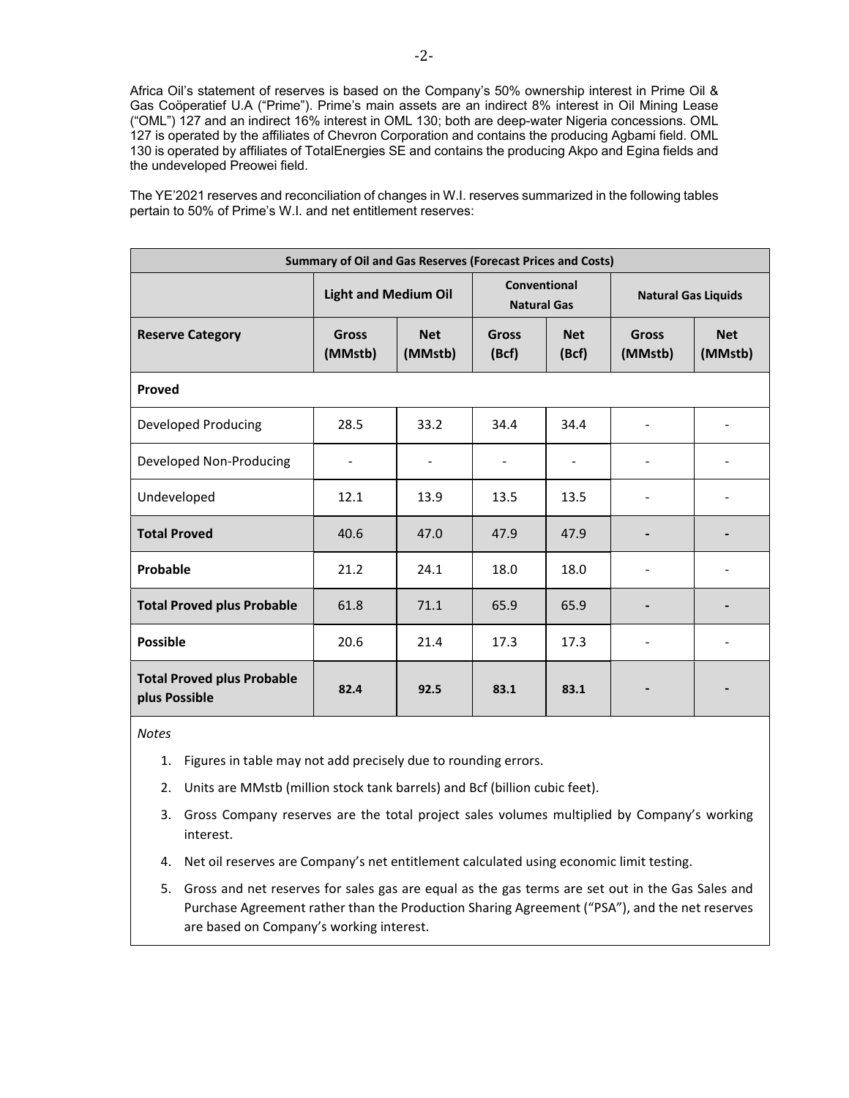Africa Oil's statement of reserves is based on the Company's 50% ownership interest in Prime Oil & Gas Coöperatief U.A ("Prime"). Prime's main assets are an indirect 8% interest in Oil Mining Lease ("OML") 127 and an indirect 16% interest in OML 130; both are deep-water Nigeria concessions. OML 127 is operated by the affiliates of Chevron Corporation and contains the producing Agbami field. OML 130 is operated by affiliates of TotalEnergies SE and contains the producing Akpo and Egina fields and the undeveloped Preowei field.

The YE'2021 reserves and reconciliation of changes in W.I. reserves summarized in the following tables pertain to 50% of Prime's W.I. and net entitlement reserves:

| Summary of Oil and Gas Reserves (Forecast Prices and Costs) |                             |                       |                                    |                     |                            |                       |  |  |  |  |  |
|-------------------------------------------------------------|-----------------------------|-----------------------|------------------------------------|---------------------|----------------------------|-----------------------|--|--|--|--|--|
|                                                             | <b>Light and Medium Oil</b> |                       | Conventional<br><b>Natural Gas</b> |                     | <b>Natural Gas Liquids</b> |                       |  |  |  |  |  |
| <b>Reserve Category</b>                                     | <b>Gross</b><br>(MMstb)     | <b>Net</b><br>(MMstb) | <b>Gross</b><br>(Bcf)              | <b>Net</b><br>(Bcf) | <b>Gross</b><br>(MMstb)    | <b>Net</b><br>(MMstb) |  |  |  |  |  |
| Proved                                                      |                             |                       |                                    |                     |                            |                       |  |  |  |  |  |
| <b>Developed Producing</b>                                  | 28.5                        | 33.2                  | 34.4                               | 34.4                |                            |                       |  |  |  |  |  |
| Developed Non-Producing                                     |                             |                       |                                    |                     |                            |                       |  |  |  |  |  |
| Undeveloped                                                 | 12.1                        | 13.9                  | 13.5                               | 13.5                | $\overline{\phantom{a}}$   |                       |  |  |  |  |  |
| <b>Total Proved</b>                                         | 40.6                        | 47.0                  | 47.9                               | 47.9                |                            |                       |  |  |  |  |  |
| Probable                                                    | 21.2                        | 24.1                  | 18.0                               | 18.0                |                            |                       |  |  |  |  |  |
| <b>Total Proved plus Probable</b>                           | 61.8                        | 71.1                  | 65.9                               | 65.9                |                            |                       |  |  |  |  |  |
| <b>Possible</b>                                             | 20.6                        | 21.4                  | 17.3                               | 17.3                | $\overline{\phantom{a}}$   |                       |  |  |  |  |  |
| <b>Total Proved plus Probable</b><br>plus Possible          | 82.4                        | 92.5                  | 83.1                               | 83.1                |                            |                       |  |  |  |  |  |

*Notes*

- 1. Figures in table may not add precisely due to rounding errors.
- 2. Units are MMstb (million stock tank barrels) and Bcf (billion cubic feet).
- 3. Gross Company reserves are the total project sales volumes multiplied by Company's working interest.
- 4. Net oil reserves are Company's net entitlement calculated using economic limit testing.
- 5. Gross and net reserves for sales gas are equal as the gas terms are set out in the Gas Sales and Purchase Agreement rather than the Production Sharing Agreement ("PSA"), and the net reserves are based on Company's working interest.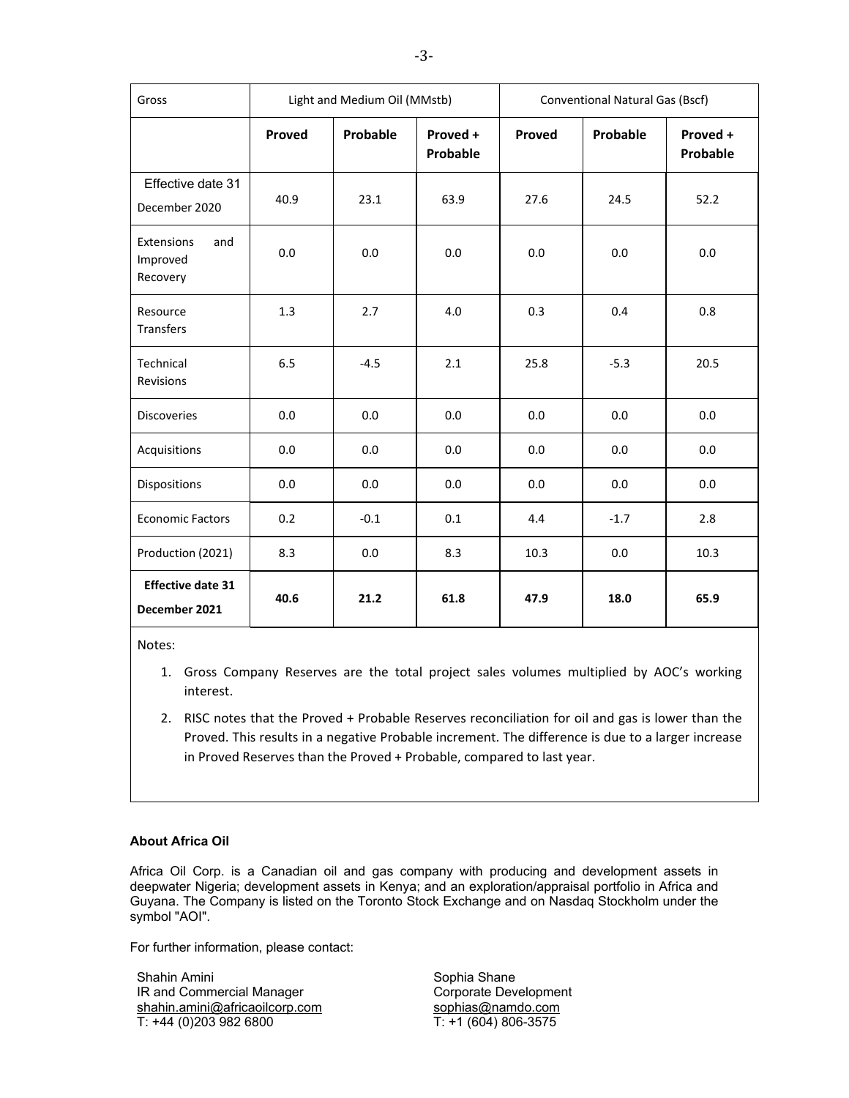| Gross                                     | Light and Medium Oil (MMstb) |          |                      | <b>Conventional Natural Gas (Bscf)</b> |          |                      |  |
|-------------------------------------------|------------------------------|----------|----------------------|----------------------------------------|----------|----------------------|--|
|                                           | Proved                       | Probable | Proved +<br>Probable | Proved                                 | Probable | Proved +<br>Probable |  |
| Effective date 31<br>December 2020        | 40.9                         | 23.1     | 63.9                 | 27.6                                   | 24.5     | 52.2                 |  |
| Extensions<br>and<br>Improved<br>Recovery | 0.0                          | 0.0      | 0.0                  | 0.0                                    | 0.0      | 0.0                  |  |
| Resource<br><b>Transfers</b>              | 1.3                          | 2.7      | 4.0                  | 0.3                                    | 0.4      | 0.8                  |  |
| Technical<br>Revisions                    | 6.5                          | $-4.5$   | 2.1                  | 25.8                                   | $-5.3$   | 20.5                 |  |
| <b>Discoveries</b>                        | 0.0                          | 0.0      | 0.0                  | 0.0                                    | 0.0      | 0.0                  |  |
| Acquisitions                              | 0.0                          | 0.0      | 0.0                  | 0.0                                    | 0.0      | 0.0                  |  |
| Dispositions                              | 0.0                          | 0.0      | 0.0                  | 0.0                                    | 0.0      | 0.0                  |  |
| <b>Economic Factors</b>                   | 0.2                          | $-0.1$   | 0.1                  | 4.4                                    | $-1.7$   | 2.8                  |  |
| Production (2021)                         | 8.3                          | 0.0      | 8.3                  | 10.3                                   | 0.0      | 10.3                 |  |
| <b>Effective date 31</b><br>December 2021 | 40.6                         | 21.2     | 61.8                 | 47.9                                   | 18.0     | 65.9                 |  |

Notes:

1. Gross Company Reserves are the total project sales volumes multiplied by AOC's working interest.

2. RISC notes that the Proved + Probable Reserves reconciliation for oil and gas is lower than the Proved. This results in a negative Probable increment. The difference is due to a larger increase in Proved Reserves than the Proved + Probable, compared to last year.

## **About Africa Oil**

Africa Oil Corp. is a Canadian oil and gas company with producing and development assets in deepwater Nigeria; development assets in Kenya; and an exploration/appraisal portfolio in Africa and Guyana. The Company is listed on the Toronto Stock Exchange and on Nasdaq Stockholm under the symbol "AOI".

For further information, please contact:

Shahin Amini IR and Commercial Manager shahin.amini@africaoilcorp.com T: +44 (0)203 982 6800

Sophia Shane Corporate Development sophias@namdo.com T: +1 (604) 806-3575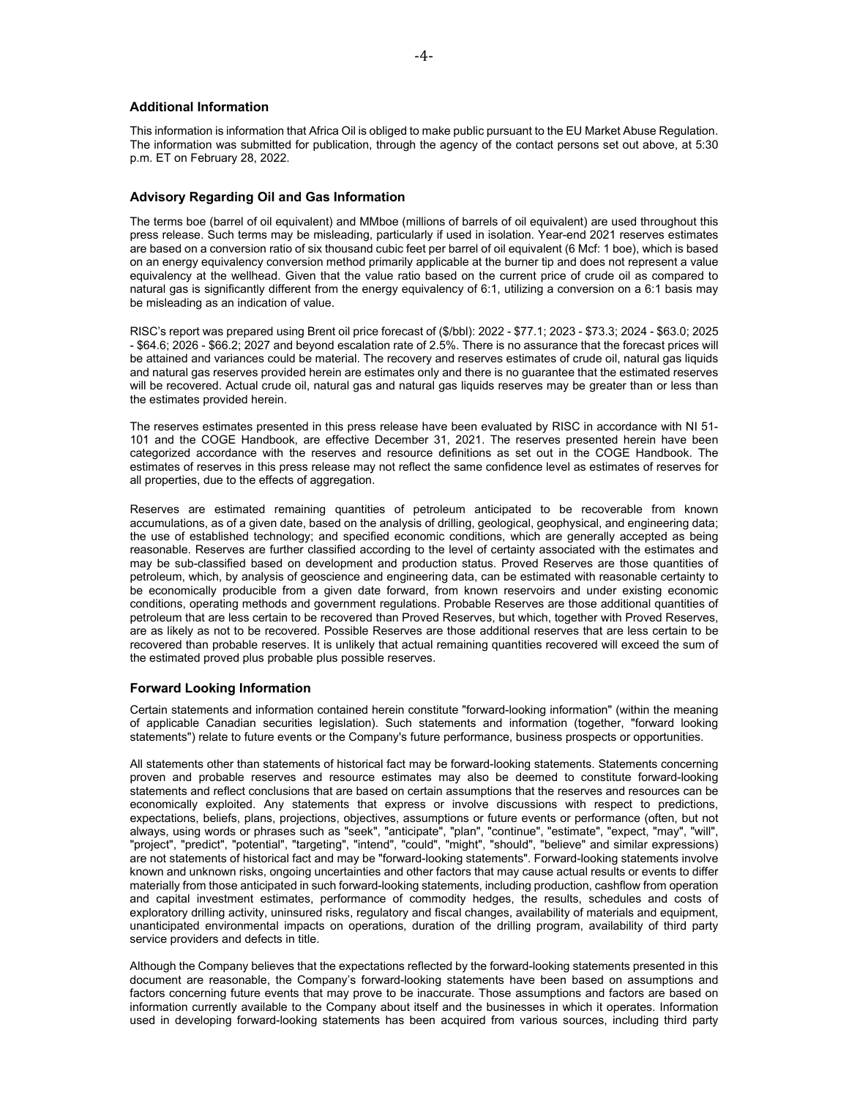### **Additional Information**

This information is information that Africa Oil is obliged to make public pursuant to the EU Market Abuse Regulation. The information was submitted for publication, through the agency of the contact persons set out above, at 5:30 p.m. ET on February 28, 2022.

#### **Advisory Regarding Oil and Gas Information**

The terms boe (barrel of oil equivalent) and MMboe (millions of barrels of oil equivalent) are used throughout this press release. Such terms may be misleading, particularly if used in isolation. Year-end 2021 reserves estimates are based on a conversion ratio of six thousand cubic feet per barrel of oil equivalent (6 Mcf: 1 boe), which is based on an energy equivalency conversion method primarily applicable at the burner tip and does not represent a value equivalency at the wellhead. Given that the value ratio based on the current price of crude oil as compared to natural gas is significantly different from the energy equivalency of 6:1, utilizing a conversion on a 6:1 basis may be misleading as an indication of value.

RISC's report was prepared using Brent oil price forecast of (\$/bbl): 2022 - \$77.1; 2023 - \$73.3; 2024 - \$63.0; 2025 - \$64.6; 2026 - \$66.2; 2027 and beyond escalation rate of 2.5%. There is no assurance that the forecast prices will be attained and variances could be material. The recovery and reserves estimates of crude oil, natural gas liquids and natural gas reserves provided herein are estimates only and there is no guarantee that the estimated reserves will be recovered. Actual crude oil, natural gas and natural gas liquids reserves may be greater than or less than the estimates provided herein.

The reserves estimates presented in this press release have been evaluated by RISC in accordance with NI 51- 101 and the COGE Handbook, are effective December 31, 2021. The reserves presented herein have been categorized accordance with the reserves and resource definitions as set out in the COGE Handbook. The estimates of reserves in this press release may not reflect the same confidence level as estimates of reserves for all properties, due to the effects of aggregation.

Reserves are estimated remaining quantities of petroleum anticipated to be recoverable from known accumulations, as of a given date, based on the analysis of drilling, geological, geophysical, and engineering data; the use of established technology; and specified economic conditions, which are generally accepted as being reasonable. Reserves are further classified according to the level of certainty associated with the estimates and may be sub-classified based on development and production status. Proved Reserves are those quantities of petroleum, which, by analysis of geoscience and engineering data, can be estimated with reasonable certainty to be economically producible from a given date forward, from known reservoirs and under existing economic conditions, operating methods and government regulations. Probable Reserves are those additional quantities of petroleum that are less certain to be recovered than Proved Reserves, but which, together with Proved Reserves, are as likely as not to be recovered. Possible Reserves are those additional reserves that are less certain to be recovered than probable reserves. It is unlikely that actual remaining quantities recovered will exceed the sum of the estimated proved plus probable plus possible reserves.

#### **Forward Looking Information**

Certain statements and information contained herein constitute "forward-looking information" (within the meaning of applicable Canadian securities legislation). Such statements and information (together, "forward looking statements") relate to future events or the Company's future performance, business prospects or opportunities.

All statements other than statements of historical fact may be forward-looking statements. Statements concerning proven and probable reserves and resource estimates may also be deemed to constitute forward-looking statements and reflect conclusions that are based on certain assumptions that the reserves and resources can be economically exploited. Any statements that express or involve discussions with respect to predictions, expectations, beliefs, plans, projections, objectives, assumptions or future events or performance (often, but not always, using words or phrases such as "seek", "anticipate", "plan", "continue", "estimate", "expect, "may", "will", "project", "predict", "potential", "targeting", "intend", "could", "might", "should", "believe" and similar expressions) are not statements of historical fact and may be "forward-looking statements". Forward-looking statements involve known and unknown risks, ongoing uncertainties and other factors that may cause actual results or events to differ materially from those anticipated in such forward-looking statements, including production, cashflow from operation and capital investment estimates, performance of commodity hedges, the results, schedules and costs of exploratory drilling activity, uninsured risks, regulatory and fiscal changes, availability of materials and equipment, unanticipated environmental impacts on operations, duration of the drilling program, availability of third party service providers and defects in title.

Although the Company believes that the expectations reflected by the forward-looking statements presented in this document are reasonable, the Company's forward-looking statements have been based on assumptions and factors concerning future events that may prove to be inaccurate. Those assumptions and factors are based on information currently available to the Company about itself and the businesses in which it operates. Information used in developing forward-looking statements has been acquired from various sources, including third party